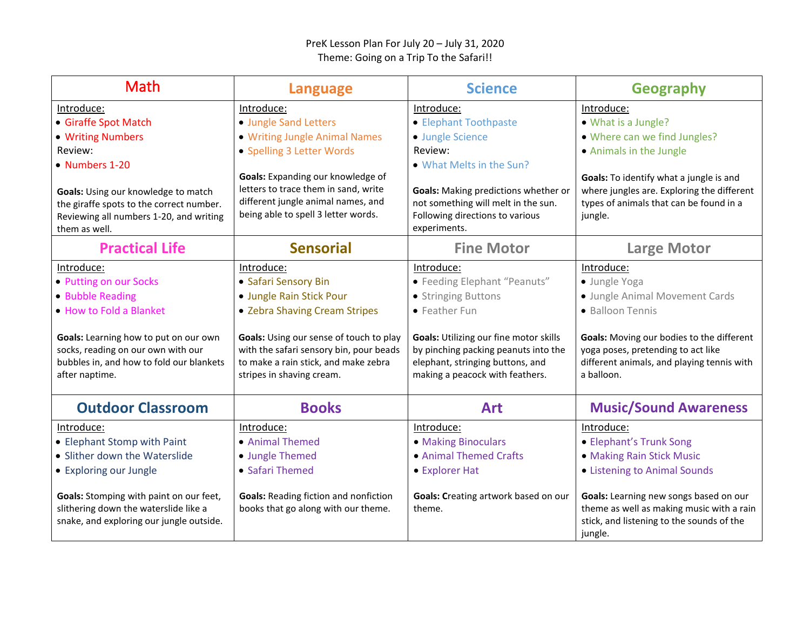## PreK Lesson Plan For July 20 – July 31, 2020 Theme: Going on a Trip To the Safari!!

| <b>Math</b>                                                                                                                                 | <b>Language</b>                                                                                                                                         | <b>Science</b>                                                                                                                                        | <b>Geography</b>                                                                                                                            |
|---------------------------------------------------------------------------------------------------------------------------------------------|---------------------------------------------------------------------------------------------------------------------------------------------------------|-------------------------------------------------------------------------------------------------------------------------------------------------------|---------------------------------------------------------------------------------------------------------------------------------------------|
| Introduce:                                                                                                                                  | Introduce:                                                                                                                                              | Introduce:                                                                                                                                            | Introduce:                                                                                                                                  |
| • Giraffe Spot Match                                                                                                                        | • Jungle Sand Letters                                                                                                                                   | • Elephant Toothpaste                                                                                                                                 | • What is a Jungle?                                                                                                                         |
| • Writing Numbers                                                                                                                           | • Writing Jungle Animal Names                                                                                                                           | • Jungle Science                                                                                                                                      | • Where can we find Jungles?                                                                                                                |
| Review:                                                                                                                                     | • Spelling 3 Letter Words                                                                                                                               | Review:                                                                                                                                               | • Animals in the Jungle                                                                                                                     |
| • Numbers 1-20                                                                                                                              |                                                                                                                                                         | • What Melts in the Sun?                                                                                                                              |                                                                                                                                             |
| Goals: Using our knowledge to match<br>the giraffe spots to the correct number.<br>Reviewing all numbers 1-20, and writing<br>them as well. | Goals: Expanding our knowledge of<br>letters to trace them in sand, write<br>different jungle animal names, and<br>being able to spell 3 letter words.  | <b>Goals:</b> Making predictions whether or<br>not something will melt in the sun.<br>Following directions to various<br>experiments.                 | Goals: To identify what a jungle is and<br>where jungles are. Exploring the different<br>types of animals that can be found in a<br>jungle. |
| <b>Practical Life</b>                                                                                                                       | <b>Sensorial</b>                                                                                                                                        | <b>Fine Motor</b>                                                                                                                                     | <b>Large Motor</b>                                                                                                                          |
| Introduce:                                                                                                                                  | Introduce:                                                                                                                                              | Introduce:                                                                                                                                            | Introduce:                                                                                                                                  |
| • Putting on our Socks                                                                                                                      | • Safari Sensory Bin                                                                                                                                    | • Feeding Elephant "Peanuts"                                                                                                                          | · Jungle Yoga                                                                                                                               |
| • Bubble Reading                                                                                                                            | · Jungle Rain Stick Pour                                                                                                                                | • Stringing Buttons                                                                                                                                   | · Jungle Animal Movement Cards                                                                                                              |
| . How to Fold a Blanket                                                                                                                     | • Zebra Shaving Cream Stripes                                                                                                                           | • Feather Fun                                                                                                                                         | • Balloon Tennis                                                                                                                            |
| Goals: Learning how to put on our own<br>socks, reading on our own with our<br>bubbles in, and how to fold our blankets<br>after naptime.   | Goals: Using our sense of touch to play<br>with the safari sensory bin, pour beads<br>to make a rain stick, and make zebra<br>stripes in shaving cream. | Goals: Utilizing our fine motor skills<br>by pinching packing peanuts into the<br>elephant, stringing buttons, and<br>making a peacock with feathers. | Goals: Moving our bodies to the different<br>yoga poses, pretending to act like<br>different animals, and playing tennis with<br>a balloon. |
| <b>Outdoor Classroom</b>                                                                                                                    | <b>Books</b>                                                                                                                                            | <b>Art</b>                                                                                                                                            | <b>Music/Sound Awareness</b>                                                                                                                |
| Introduce:                                                                                                                                  | Introduce:                                                                                                                                              | Introduce:                                                                                                                                            | Introduce:                                                                                                                                  |
| • Elephant Stomp with Paint                                                                                                                 | • Animal Themed                                                                                                                                         | • Making Binoculars                                                                                                                                   | • Elephant's Trunk Song                                                                                                                     |
| • Slither down the Waterslide                                                                                                               | • Jungle Themed                                                                                                                                         | • Animal Themed Crafts                                                                                                                                | • Making Rain Stick Music                                                                                                                   |
| • Exploring our Jungle                                                                                                                      | • Safari Themed                                                                                                                                         | • Explorer Hat                                                                                                                                        | • Listening to Animal Sounds                                                                                                                |
| Goals: Stomping with paint on our feet,<br>slithering down the waterslide like a<br>snake, and exploring our jungle outside.                | <b>Goals: Reading fiction and nonfiction</b><br>books that go along with our theme.                                                                     | Goals: Creating artwork based on our<br>theme.                                                                                                        | Goals: Learning new songs based on our<br>theme as well as making music with a rain<br>stick, and listening to the sounds of the<br>jungle. |